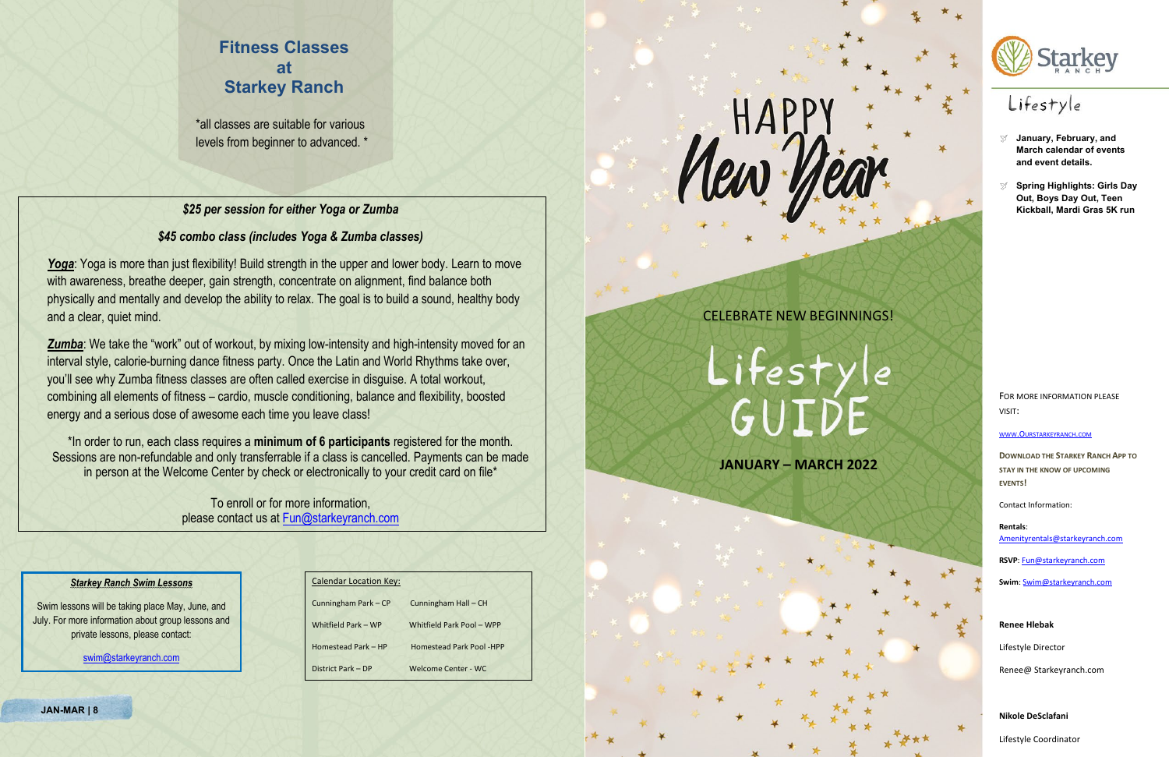- **January, February, and March calendar of events and event details.**
- **Spring Highlights: Girls Day Out, Boys Day Out, Teen Kickball, Mardi Gras 5K run**

FOR MORE INFORMATION PLEASE VISIT:

[WWW.OURSTARKEYRANCH.COM](http://www.ourstarkeyranch.com/)

**DOWNLOAD THE STARKEY RANCH APP TO STAY IN THE KNOW OF UPCOMING EVENTS!**

Contact Information:

**Rentals**: [Amenityrentals@starkeyranch.com](mailto:Amenityrentals@starkeyranch.com)

**RSVP**: [Fun@starkeyranch.com](mailto:Fun@starkeyranch.com)

**Swim**: [Swim@starkeyranch.com](mailto:Swim@starkeyranch.com)

**Renee Hlebak**

Lifestyle Director

Renee@ Starkeyranch.com

**Nikole DeSclafani**

Lifestyle Coordinator

*Yoga*: Yoga is more than just flexibility! Build strength in the upper and lower body. Learn to move with awareness, breathe deeper, gain strength, concentrate on alignment, find balance both physically and mentally and develop the ability to relax. The goal is to build a sound, healthy body and a clear, quiet mind.

# **Fitness Classes at Starkey Ranch**

\*all classes are suitable for various levels from beginner to advanced. \*

# *\$25 per session for either Yoga or Zumba*

# *\$45 combo class (includes Yoga & Zumba classes)*

**Zumba:** We take the "work" out of workout, by mixing low-intensity and high-intensity moved for an interval style, calorie-burning dance fitness party. Once the Latin and World Rhythms take over, you'll see why Zumba fitness classes are often called exercise in disguise. A total workout, combining all elements of fitness – cardio, muscle conditioning, balance and flexibility, boosted energy and a serious dose of awesome each time you leave class!

\*In order to run, each class requires a **minimum of 6 participants** registered for the month. Sessions are non-refundable and only transferrable if a class is cancelled. Payments can be made in person at the Welcome Center by check or electronically to your credit card on file\*

> To enroll or for more information, please contact us at [Fun@starkeyranch.com](mailto:Fun@starkeyranch.com)





# Lifestyle

# CELEBRATE NEW BEGINNINGS!

# Lifestyle<br>GUIDE

**JANUARY – MARCH 2022**

# *Starkey Ranch Swim Lessons*

Swim lessons will be taking place May, June, and July. For more information about group lessons and private lessons, please contact:

[swim@starkeyranch.com](mailto:swim@starkeyranch.com)

| <b>Calendar Location Key:</b> |                                 |
|-------------------------------|---------------------------------|
| Cunningham Park - CP          | Cunningham Hall - CH            |
| Whitfield Park - WP           | Whitfield Park Pool - WPP       |
| Homestead Park - HP           | <b>Homestead Park Pool -HPP</b> |
| District Park - DP            | Welcome Center - WC             |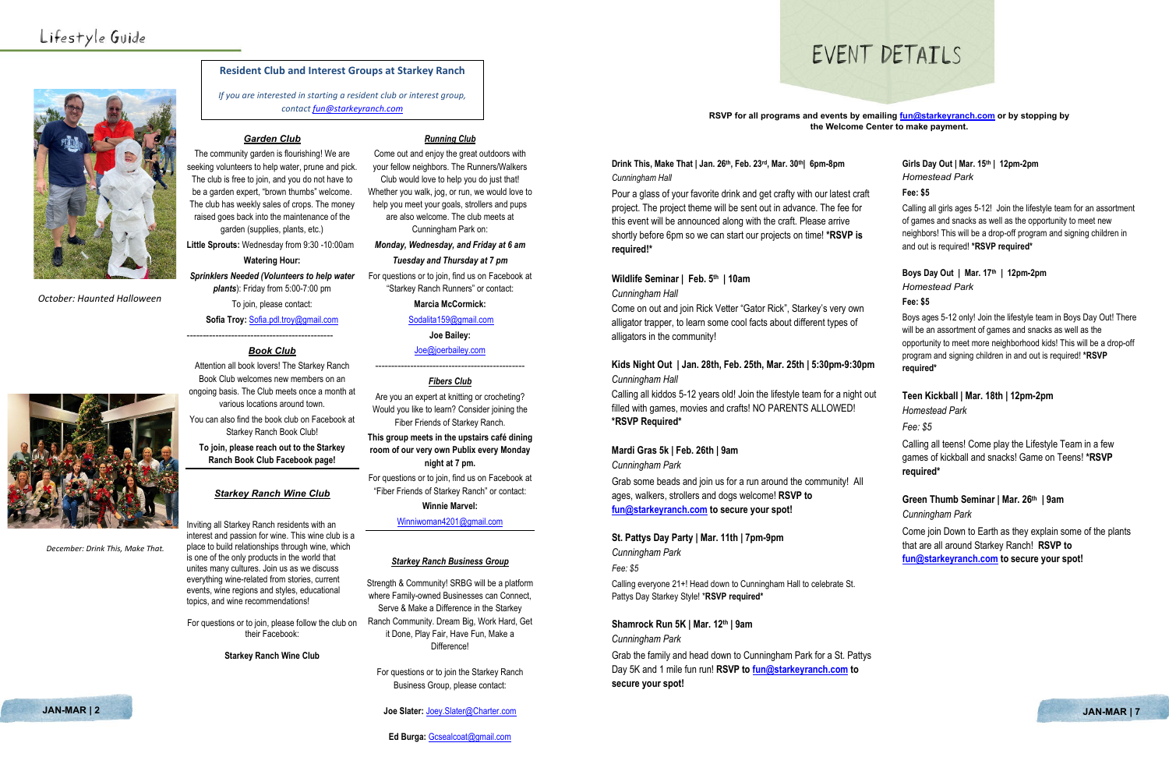

*October: Haunted Halloween* 



*December: Drink This, Make That.* 

# *Garden Club*

The community garden is flourishing! We are seeking volunteers to help water, prune and pick. The club is free to join, and you do not have to be a garden expert, "brown thumbs" welcome. The club has weekly sales of crops. The money raised goes back into the maintenance of the garden (supplies, plants, etc.)

**Little Sprouts:** Wednesday from 9:30 -10:00am **Watering Hour:**

*Sprinklers Needed (Volunteers to help water plants*): Friday from 5:00-7:00 pm

To join, please contact:

**Sofia Troy:** [Sofia.pdl.troy@gmail.com](mailto:Sofia.pdl.troy@gmail.com)

---------------------------------------------- *Book Club*

Attention all book lovers! The Starkey Ranch Book Club welcomes new members on an ongoing basis. The Club meets once a month at

various locations around town.



You can also find the book club on Facebook at Starkey Ranch Book Club!

**To join, please reach out to the Starkey Ranch Book Club Facebook page!** 

# *Starkey Ranch Wine Club*

Inviting all Starkey Ranch residents with an interest and passion for wine. This wine club is a place to build relationships through wine, which is one of the only products in the world that unites many cultures. Join us as we discuss everything wine-related from stories, current events, wine regions and styles, educational topics, and wine recommendations!

For questions or to join, please follow the club on their Facebook:

**Starkey Ranch Wine Club**

# *Running Club*

Come out and enjoy the great outdoors with your fellow neighbors. The Runners/Walkers Club would love to help you do just that!

> Pour a glass of your favorite drink and get crafty with our latest cra project. The project theme will be sent out in advance. The fee for this event will be announced along with the craft. Please arrive shortly before 6pm so we can start our projects on time! **\*RSVP is required!\***

Whether you walk, jog, or run, we would love to help you meet your goals, strollers and pups are also welcome. The club meets at Cunningham Park on:

*Monday, Wednesday, and Friday at 6 am Tuesday and Thursday at 7 pm*

# Kids Night Out | Jan. 28th, Feb. 25th, Mar. 25th | 5:30pm-9:30 *Cunningham Hall*

For questions or to join, find us on Facebook at

"Starkey Ranch Runners" or contact:

Calling all kiddos 5-12 years old! Join the lifestyle team for a night filled with games, movies and crafts! NO PARENTS ALLOWED! **\*RSVP Required\***

**Marcia McCormick:**

# [Sodalita159@gmail.com](mailto:Sodalita159@gmail.com)

**Joe Bailey:** 

[Joe@joerbailey.com](mailto:Joe@joerbailey.com)

# ----------------------------------------------- *Fibers Club*

Are you an expert at knitting or crocheting? Would you like to learn? Consider joining the Fiber Friends of Starkey Ranch.

**This group meets in the upstairs café dining room of our very own Publix every Monday night at 7 pm.**

For questions or to join, find us on Facebook at "Fiber Friends of Starkey Ranch" or contact:

### **Winnie Marvel:**

[Winniwoman4201@gmail.com](mailto:Winniwoman4201@gmail.com)

### *Starkey Ranch Business Group*

Strength & Community! SRBG will be a platform where Family-owned Businesses can Connect, Serve & Make a Difference in the Starkey Ranch Community. Dream Big, Work Hard, Get it Done, Play Fair, Have Fun, Make a Difference!

For questions or to join the Starkey Ranch Business Group, please contact:

### **Joe Slater:** [Joey.Slater@Charter.com](mailto:Joey.Slater@Charter.com) **JAN-MAR | 2 JAN-MAR | 7**

**Ed Burga:** [Gcsealcoat@gmail.com](mailto:Gcsealcoat@gmail.com)

# **RSVP for all programs and events by emailing [fun@starkeyranch.com](mailto:fun@starkeyranch.com) or by stopping by the Welcome Center to make payment.**

# **Drink This, Make That | Jan. 26th, Feb. 23rd, Mar. 30th| 6pm-8pm** *Cunningham Hall*

# **Wildlife Seminar | Feb. 5th | 10am**

# *Cunningham Hall*

Come on out and join Rick Vetter "Gator Rick", Starkey's very own alligator trapper, to learn some cool facts about different types of alligators in the community!

# **Mardi Gras 5k | Feb. 26th | 9am**

*Cunningham Park* 

Grab some beads and join us for a run around the community! All ages, walkers, strollers and dogs welcome! **RSVP to [fun@starkeyranch.com](mailto:fun@starkeyranch.com) to secure your spot!**

# **St. Pattys Day Party | Mar. 11th | 7pm-9pm**

*Cunningham Park* 

# *Fee: \$5*

Calling everyone 21+! Head down to Cunningham Hall to celebrate St. Pattys Day Starkey Style! \***RSVP required\***

# **Shamrock Run 5K | Mar. 12th | 9am**

# *Cunningham Park*

Grab the family and head down to Cunningham Park for a St. Pattys Day 5K and 1 mile fun run! **RSVP to [fun@starkeyranch.com](mailto:fun@starkeyranch.com) to secure your spot!**

|       | Girls Day Out   Mar. 15th   12pm-2pm<br><b>Homestead Park</b>                                                                                                                                              |
|-------|------------------------------------------------------------------------------------------------------------------------------------------------------------------------------------------------------------|
| aft   | Fee: \$5                                                                                                                                                                                                   |
| ś     | Calling all girls ages 5-12! Join the lifestyle team for an assortment<br>of games and snacks as well as the opportunity to meet new<br>neighbors! This will be a drop-off program and signing children in |
|       | and out is required! *RSVP required*                                                                                                                                                                       |
|       | Boys Day Out   Mar. 17th   12pm-2pm<br><b>Homestead Park</b>                                                                                                                                               |
| n     | Fee: \$5                                                                                                                                                                                                   |
|       | Boys ages 5-12 only! Join the lifestyle team in Boys Day Out! There<br>will be an assortment of games and snacks as well as the<br>opportunity to meet more neighborhood kids! This will be a drop-off     |
| )pm   | program and signing children in and out is required! *RSVP<br>required*                                                                                                                                    |
| t out | Teen Kickball   Mar. 18th   12pm-2pm                                                                                                                                                                       |
|       | <b>Homestead Park</b>                                                                                                                                                                                      |
|       | Fee: \$5                                                                                                                                                                                                   |
|       | Calling all teens! Come play the Lifestyle Team in a few<br>games of kickball and snacks! Game on Teens! *RSVP                                                                                             |
| II    | required*                                                                                                                                                                                                  |
|       | Green Thumb Seminar   Mar. 26th   9am                                                                                                                                                                      |
|       | Cunningham Park                                                                                                                                                                                            |
|       | Come join Down to Earth as they explain some of the plants<br>that are all around Starkey Ranch! RSVP to                                                                                                   |
|       | fun@starkeyranch.com to secure your spot!                                                                                                                                                                  |



# **Resident Club and Interest Groups at Starkey Ranch**

*If you are interested in starting a resident club or interest group, contac[t fun@starkeyranch.com](mailto:fun@starkeyranch.com)*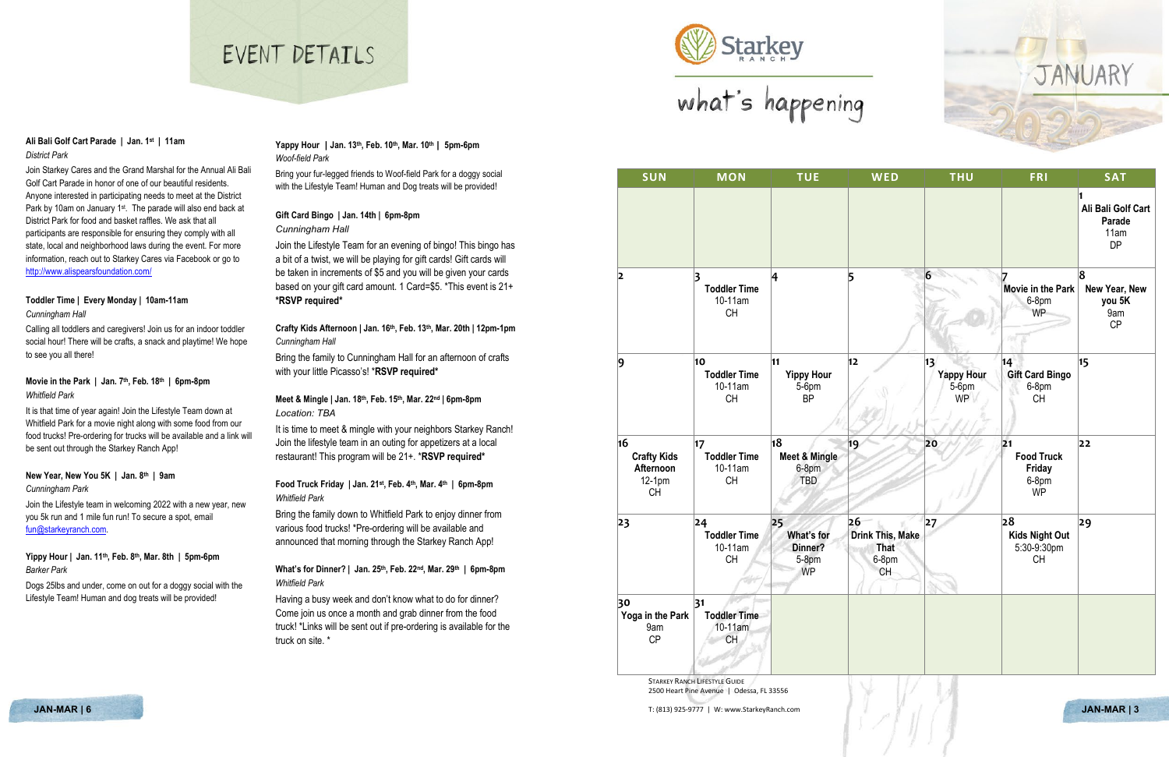# EVENT DETATLS



We Starkey<br>what's happening

**SUN MON TUE WED THU FRI SAT 1 Ali Bali Golf Cart Parade** 11am DP **4 5 6 7 Movie in the Park New Year, New**  6-8pm WP **8 you 5K** 9am CP **12 13 Yappy Hour** 5-6pm WP **14 Gift Card Bingo** 6-8pm CH **15 19 20 21 Food Truck Friday** 6-8pm WP **22 Drink This, Make That** 6-8pm CH **27 28 Kids Night Out** 5:30-9:30pm CH **29**





| <b>SUN</b>                                                   | <b>MON</b>                                        | <b>TUE</b>                                            |           |
|--------------------------------------------------------------|---------------------------------------------------|-------------------------------------------------------|-----------|
|                                                              |                                                   |                                                       |           |
| 2                                                            | 3<br><b>Toddler Time</b><br>10-11am<br><b>CH</b>  | 4                                                     | 5         |
| 9                                                            | 10<br><b>Toddler Time</b><br>10-11am<br><b>CH</b> | 11<br><b>Yippy Hour</b><br>5-6pm<br><b>BP</b>         | 12        |
| 16<br><b>Crafty Kids</b><br>Afternoon<br>12-1pm<br><b>CH</b> | 17<br><b>Toddler Time</b><br>10-11am<br><b>CH</b> | 18<br><b>Meet &amp; Mingle</b><br>6-8pm<br><b>TBD</b> | 19        |
| 23                                                           | 24<br><b>Toddler Time</b><br>10-11am<br><b>CH</b> | 25<br>What's for<br>Dinner?<br>$5-8$ pm<br><b>WP</b>  | 26<br>Dri |
| 30<br>Yoga in the Park<br>9am<br><b>CP</b>                   | 31<br><b>Toddler Time</b><br>10-11am<br>CH        |                                                       |           |

**STARKEY RANCH LIFESTYLE GUIDE** 2500 Heart Pine Avenue | Odessa, FL 33556

**JAN-MAR | 6** T: (813) 925-9777 | W: www.StarkeyRanch.com **JAN-MAR | 3**

# JANUARY

# **Ali Bali Golf Cart Parade | Jan. 1st | 11am** *District Park*

Join Starkey Cares and the Grand Marshal for the Annual Ali Bali Golf Cart Parade in honor of one of our beautiful residents. Anyone interested in participating needs to meet at the District Park by 10am on January 1st. The parade will also end back at District Park for food and basket raffles. We ask that all participants are responsible for ensuring they comply with all state, local and neighborhood laws during the event. For more information, reach out to Starkey Cares via Facebook or go to <http://www.alispearsfoundation.com/>

# **Toddler Time | Every Monday | 10am-11am** *Cunningham Hall*

Calling all toddlers and caregivers! Join us for an indoor toddler social hour! There will be crafts, a snack and playtime! We hope to see you all there!

> It is time to meet & mingle with your neighbors Starkey Ranch! Join the lifestyle team in an outing for appetizers at a local restaurant! This program will be 21+. \***RSVP required\***

# **Movie in the Park | Jan. 7th, Feb. 18th | 6pm-8pm** *Whitfield Park*

It is that time of year again! Join the Lifestyle Team down at Whitfield Park for a movie night along with some food from our food trucks! Pre-ordering for trucks will be available and a link will be sent out through the Starkey Ranch App!

# **New Year, New You 5K | Jan. 8th | 9am**

# *Cunningham Park*

Join the Lifestyle team in welcoming 2022 with a new year, new you 5k run and 1 mile fun run! To secure a spot, email [fun@starkeyranch.com.](mailto:fun@starkeyranch.com) 

# **Yippy Hour | Jan. 11th, Feb. 8th, Mar. 8th | 5pm-6pm** *Barker Park*

Dogs 25lbs and under, come on out for a doggy social with the Lifestyle Team! Human and dog treats will be provided!

# **Yappy Hour | Jan. 13th, Feb. 10th, Mar. 10th | 5pm-6pm** *Woof-field Park*

Bring your fur-legged friends to Woof-field Park for a doggy social with the Lifestyle Team! Human and Dog treats will be provided!

### **Gift Card Bingo | Jan. 14th | 6pm-8pm** *Cunningham Hall*

Join the Lifestyle Team for an evening of bingo! This bingo has a bit of a twist, we will be playing for gift cards! Gift cards will be taken in increments of \$5 and you will be given your cards based on your gift card amount. 1 Card=\$5. \*This event is 21+ **\*RSVP required\***

**Crafty Kids Afternoon | Jan. 16th, Feb. 13th, Mar. 20th | 12pm-1pm** *Cunningham Hall*

Bring the family to Cunningham Hall for an afternoon of crafts with your little Picasso's! \***RSVP required\***

# **Meet & Mingle | Jan. 18th, Feb. 15th, Mar. 22nd | 6pm-8pm** *Location: TBA*

# **Food Truck Friday | Jan. 21st, Feb. 4th, Mar. 4th | 6pm-8pm** *Whitfield Park*

Bring the family down to Whitfield Park to enjoy dinner from various food trucks! \*Pre-ordering will be available and announced that morning through the Starkey Ranch App!

# **What's for Dinner? | Jan. 25th, Feb. 22nd, Mar. 29th | 6pm-8pm** *Whitfield Park*

Having a busy week and don't know what to do for dinner? Come join us once a month and grab dinner from the food truck! \*Links will be sent out if pre-ordering is available for the truck on site. \*